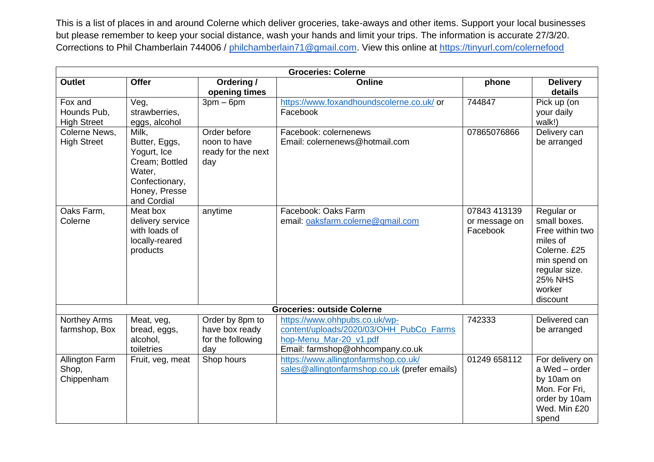This is a list of places in and around Colerne which deliver groceries, take-aways and other items. Support your local businesses but please remember to keep your social distance, wash your hands and limit your trips. The information is accurate 27/3/20. Corrections to Phil Chamberlain 744006 / [philchamberlain71@gmail.com.](mailto:philchamberlain71@gmail.com) View this online at<https://tinyurl.com/colernefood>

| <b>Groceries: Colerne</b>                    |                                                                                                                     |                                                               |                                                                                                                                        |                                           |                                                                                                                                                    |  |  |  |  |
|----------------------------------------------|---------------------------------------------------------------------------------------------------------------------|---------------------------------------------------------------|----------------------------------------------------------------------------------------------------------------------------------------|-------------------------------------------|----------------------------------------------------------------------------------------------------------------------------------------------------|--|--|--|--|
| <b>Outlet</b>                                | <b>Offer</b>                                                                                                        | Ordering /<br>opening times                                   | <b>Online</b>                                                                                                                          | phone                                     | <b>Delivery</b><br>details                                                                                                                         |  |  |  |  |
| Fox and<br>Hounds Pub,<br><b>High Street</b> | Veg,<br>strawberries,<br>eggs, alcohol                                                                              | $3pm-6pm$                                                     | https://www.foxandhoundscolerne.co.uk/ or<br>Facebook                                                                                  | 744847                                    | Pick up (on<br>your daily<br>walk!)                                                                                                                |  |  |  |  |
| Colerne News,<br><b>High Street</b>          | Milk,<br>Butter, Eggs,<br>Yogurt, Ice<br>Cream; Bottled<br>Water,<br>Confectionary,<br>Honey, Presse<br>and Cordial | Order before<br>noon to have<br>ready for the next<br>day     | Facebook: colernenews<br>Email: colernenews@hotmail.com                                                                                | 07865076866                               | Delivery can<br>be arranged                                                                                                                        |  |  |  |  |
| Oaks Farm,<br>Colerne                        | Meat box<br>delivery service<br>with loads of<br>locally-reared<br>products                                         | anytime                                                       | Facebook: Oaks Farm<br>email: oaksfarm.colerne@gmail.com                                                                               | 07843 413139<br>or message on<br>Facebook | Regular or<br>small boxes.<br>Free within two<br>miles of<br>Colerne. £25<br>min spend on<br>regular size.<br><b>25% NHS</b><br>worker<br>discount |  |  |  |  |
| <b>Groceries: outside Colerne</b>            |                                                                                                                     |                                                               |                                                                                                                                        |                                           |                                                                                                                                                    |  |  |  |  |
| Northey Arms<br>farmshop, Box                | Meat, veg,<br>bread, eggs,<br>alcohol.<br>toiletries                                                                | Order by 8pm to<br>have box ready<br>for the following<br>day | https://www.ohhpubs.co.uk/wp-<br>content/uploads/2020/03/OHH PubCo Farms<br>hop-Menu Mar-20 v1.pdf<br>Email: farmshop@ohhcompany.co.uk | 742333                                    | Delivered can<br>be arranged                                                                                                                       |  |  |  |  |
| Allington Farm<br>Shop,<br>Chippenham        | Fruit, veg, meat                                                                                                    | Shop hours                                                    | https://www.allingtonfarmshop.co.uk/<br>sales@allingtonfarmshop.co.uk (prefer emails)                                                  | 01249 658112                              | For delivery on<br>a Wed - order<br>by 10am on<br>Mon. For Fri,<br>order by 10am<br>Wed. Min £20<br>spend                                          |  |  |  |  |